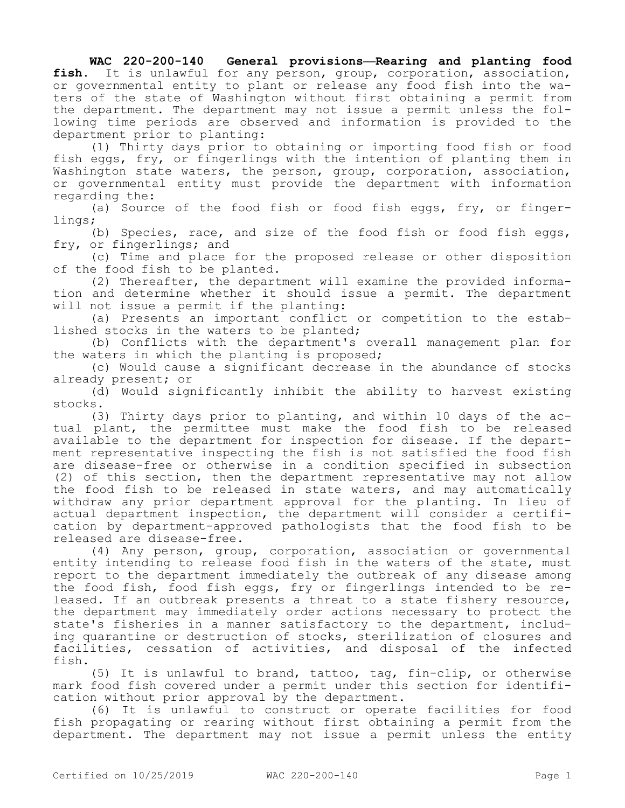**WAC 220-200-140 General provisions—Rearing and planting food fish.** It is unlawful for any person, group, corporation, association, or governmental entity to plant or release any food fish into the waters of the state of Washington without first obtaining a permit from the department. The department may not issue a permit unless the following time periods are observed and information is provided to the department prior to planting:

(1) Thirty days prior to obtaining or importing food fish or food fish eggs, fry, or fingerlings with the intention of planting them in Washington state waters, the person, group, corporation, association, or governmental entity must provide the department with information regarding the:

(a) Source of the food fish or food fish eggs, fry, or fingerlings;

(b) Species, race, and size of the food fish or food fish eggs, fry, or fingerlings; and

(c) Time and place for the proposed release or other disposition of the food fish to be planted.

(2) Thereafter, the department will examine the provided information and determine whether it should issue a permit. The department will not issue a permit if the planting:

(a) Presents an important conflict or competition to the established stocks in the waters to be planted;

(b) Conflicts with the department's overall management plan for the waters in which the planting is proposed;

(c) Would cause a significant decrease in the abundance of stocks already present; or

(d) Would significantly inhibit the ability to harvest existing stocks.

(3) Thirty days prior to planting, and within 10 days of the actual plant, the permittee must make the food fish to be released available to the department for inspection for disease. If the department representative inspecting the fish is not satisfied the food fish are disease-free or otherwise in a condition specified in subsection (2) of this section, then the department representative may not allow the food fish to be released in state waters, and may automatically withdraw any prior department approval for the planting. In lieu of actual department inspection, the department will consider a certification by department-approved pathologists that the food fish to be released are disease-free.

(4) Any person, group, corporation, association or governmental entity intending to release food fish in the waters of the state, must report to the department immediately the outbreak of any disease among the food fish, food fish eggs, fry or fingerlings intended to be released. If an outbreak presents a threat to a state fishery resource, the department may immediately order actions necessary to protect the state's fisheries in a manner satisfactory to the department, including quarantine or destruction of stocks, sterilization of closures and facilities, cessation of activities, and disposal of the infected fish.

(5) It is unlawful to brand, tattoo, tag, fin-clip, or otherwise mark food fish covered under a permit under this section for identification without prior approval by the department.

(6) It is unlawful to construct or operate facilities for food fish propagating or rearing without first obtaining a permit from the department. The department may not issue a permit unless the entity